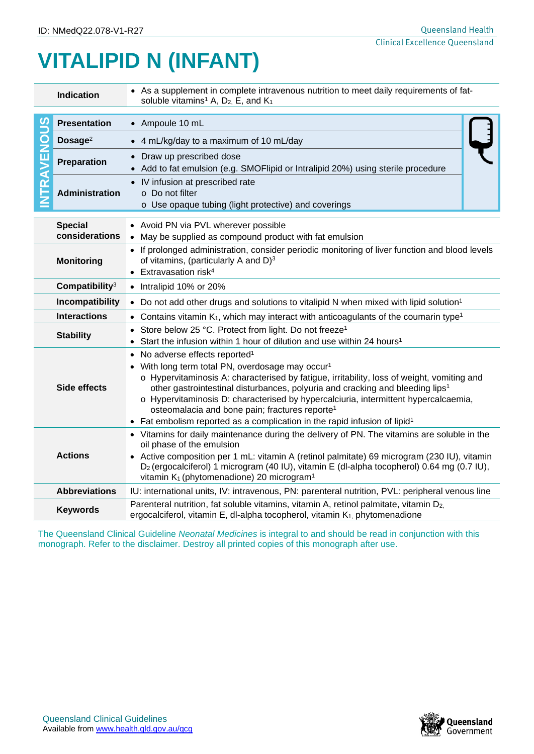## **VITALIPID N (INFANT)**

| Indication                                                                                                      |                            | • As a supplement in complete intravenous nutrition to meet daily requirements of fat-<br>soluble vitamins <sup>1</sup> A, $D_2$ , E, and $K_1$                                             |  |  |  |
|-----------------------------------------------------------------------------------------------------------------|----------------------------|---------------------------------------------------------------------------------------------------------------------------------------------------------------------------------------------|--|--|--|
|                                                                                                                 | <b>Presentation</b>        | • Ampoule 10 mL                                                                                                                                                                             |  |  |  |
| <u>90</u><br>Ō<br>RAVEN                                                                                         |                            |                                                                                                                                                                                             |  |  |  |
|                                                                                                                 | Dosage $2$                 | • 4 mL/kg/day to a maximum of 10 mL/day                                                                                                                                                     |  |  |  |
|                                                                                                                 | Preparation                | • Draw up prescribed dose                                                                                                                                                                   |  |  |  |
|                                                                                                                 |                            | • Add to fat emulsion (e.g. SMOFlipid or Intralipid 20%) using sterile procedure                                                                                                            |  |  |  |
|                                                                                                                 | <b>Administration</b>      | • IV infusion at prescribed rate<br>o Do not filter                                                                                                                                         |  |  |  |
|                                                                                                                 |                            | o Use opaque tubing (light protective) and coverings                                                                                                                                        |  |  |  |
|                                                                                                                 |                            |                                                                                                                                                                                             |  |  |  |
|                                                                                                                 | <b>Special</b>             | • Avoid PN via PVL wherever possible                                                                                                                                                        |  |  |  |
|                                                                                                                 | considerations             | • May be supplied as compound product with fat emulsion                                                                                                                                     |  |  |  |
| <b>Monitoring</b>                                                                                               |                            | • If prolonged administration, consider periodic monitoring of liver function and blood levels<br>of vitamins, (particularly A and D) <sup>3</sup>                                          |  |  |  |
|                                                                                                                 |                            | $\bullet$ Extravasation risk <sup>4</sup>                                                                                                                                                   |  |  |  |
|                                                                                                                 | Compatibility <sup>3</sup> | • Intralipid 10% or 20%                                                                                                                                                                     |  |  |  |
| Incompatibility                                                                                                 |                            | • Do not add other drugs and solutions to vitalipid N when mixed with lipid solution <sup>1</sup>                                                                                           |  |  |  |
|                                                                                                                 | <b>Interactions</b>        | • Contains vitamin $K_1$ , which may interact with anticoagulants of the coumarin type <sup>1</sup>                                                                                         |  |  |  |
|                                                                                                                 |                            | • Store below 25 °C. Protect from light. Do not freeze <sup>1</sup>                                                                                                                         |  |  |  |
|                                                                                                                 | <b>Stability</b>           | • Start the infusion within 1 hour of dilution and use within 24 hours <sup>1</sup>                                                                                                         |  |  |  |
|                                                                                                                 |                            | No adverse effects reported <sup>1</sup><br>$\bullet$                                                                                                                                       |  |  |  |
|                                                                                                                 |                            | • With long term total PN, overdosage may occur <sup>1</sup>                                                                                                                                |  |  |  |
|                                                                                                                 | Side effects               | o Hypervitaminosis A: characterised by fatigue, irritability, loss of weight, vomiting and<br>other gastrointestinal disturbances, polyuria and cracking and bleeding lips <sup>1</sup>     |  |  |  |
|                                                                                                                 |                            | o Hypervitaminosis D: characterised by hypercalciuria, intermittent hypercalcaemia,                                                                                                         |  |  |  |
|                                                                                                                 |                            | osteomalacia and bone pain; fractures reporte <sup>1</sup>                                                                                                                                  |  |  |  |
|                                                                                                                 |                            | • Fat embolism reported as a complication in the rapid infusion of lipid <sup>1</sup>                                                                                                       |  |  |  |
|                                                                                                                 | <b>Actions</b>             | • Vitamins for daily maintenance during the delivery of PN. The vitamins are soluble in the<br>oil phase of the emulsion                                                                    |  |  |  |
|                                                                                                                 |                            | • Active composition per 1 mL: vitamin A (retinol palmitate) 69 microgram (230 IU), vitamin                                                                                                 |  |  |  |
|                                                                                                                 |                            | D <sub>2</sub> (ergocalciferol) 1 microgram (40 IU), vitamin E (dl-alpha tocopherol) 0.64 mg (0.7 IU),                                                                                      |  |  |  |
|                                                                                                                 |                            | vitamin K <sub>1</sub> (phytomenadione) 20 microgram <sup>1</sup>                                                                                                                           |  |  |  |
|                                                                                                                 | <b>Abbreviations</b>       | IU: international units, IV: intravenous, PN: parenteral nutrition, PVL: peripheral venous line                                                                                             |  |  |  |
|                                                                                                                 | <b>Keywords</b>            | Parenteral nutrition, fat soluble vitamins, vitamin A, retinol palmitate, vitamin D <sub>2</sub><br>ergocalciferol, vitamin E, dl-alpha tocopherol, vitamin K <sub>1</sub> , phytomenadione |  |  |  |
| The Queensland Clinical Guideline Neonatal Medicines is integral to and should be read in conjunction with this |                            |                                                                                                                                                                                             |  |  |  |
| monograph. Refer to the disclaimer. Destroy all printed copies of this monograph after use.                     |                            |                                                                                                                                                                                             |  |  |  |